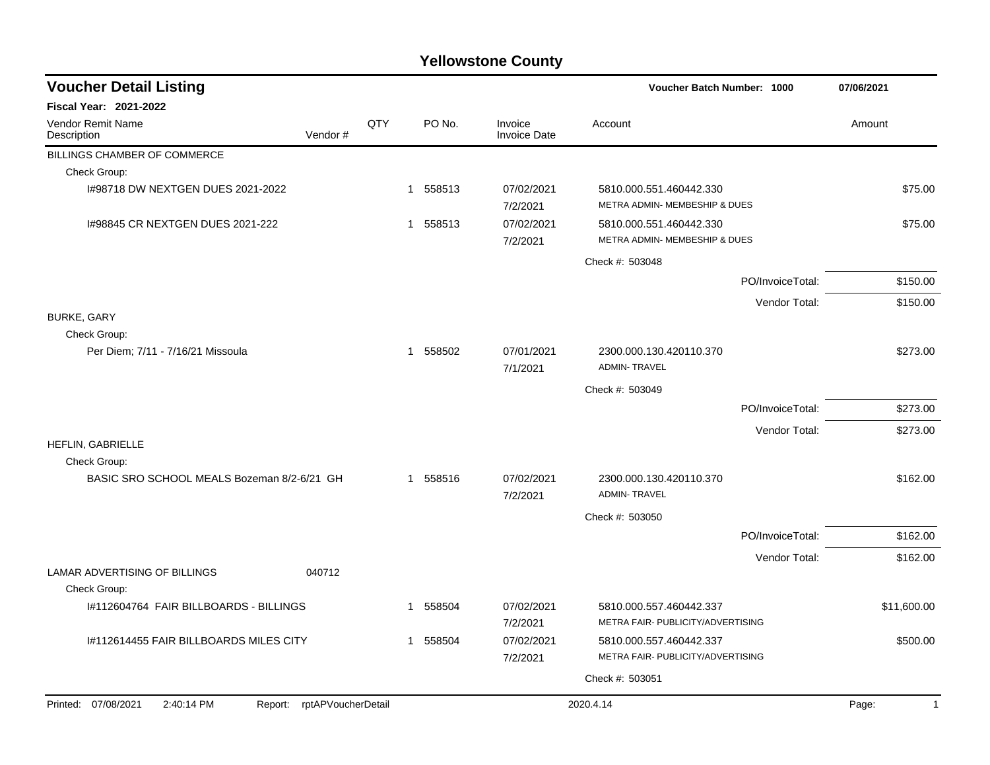## **Yellowstone County**

| <b>Voucher Detail Listing</b>                 |         |     |   |          |                                | Voucher Batch Number: 1000                                   |                  | 07/06/2021  |
|-----------------------------------------------|---------|-----|---|----------|--------------------------------|--------------------------------------------------------------|------------------|-------------|
| <b>Fiscal Year: 2021-2022</b>                 |         |     |   |          |                                |                                                              |                  |             |
| <b>Vendor Remit Name</b><br>Description       | Vendor# | QTY |   | PO No.   | Invoice<br><b>Invoice Date</b> | Account                                                      |                  | Amount      |
| BILLINGS CHAMBER OF COMMERCE                  |         |     |   |          |                                |                                                              |                  |             |
| Check Group:                                  |         |     |   |          |                                |                                                              |                  |             |
| I#98718 DW NEXTGEN DUES 2021-2022             |         |     |   | 1 558513 | 07/02/2021<br>7/2/2021         | 5810.000.551.460442.330<br>METRA ADMIN- MEMBESHIP & DUES     |                  | \$75.00     |
| 1#98845 CR NEXTGEN DUES 2021-222              |         |     |   | 1 558513 | 07/02/2021<br>7/2/2021         | 5810.000.551.460442.330<br>METRA ADMIN- MEMBESHIP & DUES     |                  | \$75.00     |
|                                               |         |     |   |          |                                | Check #: 503048                                              |                  |             |
|                                               |         |     |   |          |                                |                                                              | PO/InvoiceTotal: | \$150.00    |
|                                               |         |     |   |          |                                |                                                              | Vendor Total:    | \$150.00    |
| <b>BURKE, GARY</b><br>Check Group:            |         |     |   |          |                                |                                                              |                  |             |
| Per Diem; 7/11 - 7/16/21 Missoula             |         |     |   | 1 558502 | 07/01/2021<br>7/1/2021         | 2300.000.130.420110.370<br><b>ADMIN-TRAVEL</b>               |                  | \$273.00    |
|                                               |         |     |   |          |                                | Check #: 503049                                              |                  |             |
|                                               |         |     |   |          |                                |                                                              | PO/InvoiceTotal: | \$273.00    |
|                                               |         |     |   |          |                                |                                                              | Vendor Total:    | \$273.00    |
| HEFLIN, GABRIELLE<br>Check Group:             |         |     |   |          |                                |                                                              |                  |             |
| BASIC SRO SCHOOL MEALS Bozeman 8/2-6/21 GH    |         |     |   | 1 558516 | 07/02/2021<br>7/2/2021         | 2300.000.130.420110.370<br><b>ADMIN-TRAVEL</b>               |                  | \$162.00    |
|                                               |         |     |   |          |                                | Check #: 503050                                              |                  |             |
|                                               |         |     |   |          |                                |                                                              | PO/InvoiceTotal: | \$162.00    |
|                                               |         |     |   |          |                                |                                                              | Vendor Total:    | \$162.00    |
| LAMAR ADVERTISING OF BILLINGS<br>Check Group: | 040712  |     |   |          |                                |                                                              |                  |             |
| I#112604764 FAIR BILLBOARDS - BILLINGS        |         |     | 1 | 558504   | 07/02/2021<br>7/2/2021         | 5810.000.557.460442.337<br>METRA FAIR- PUBLICITY/ADVERTISING |                  | \$11,600.00 |
| 1#112614455 FAIR BILLBOARDS MILES CITY        |         |     | 1 | 558504   | 07/02/2021<br>7/2/2021         | 5810.000.557.460442.337<br>METRA FAIR- PUBLICITY/ADVERTISING |                  | \$500.00    |
|                                               |         |     |   |          |                                | Check #: 503051                                              |                  |             |
| Printed: 07/08/2021<br>2:40:14 PM             |         |     |   |          |                                | 2020.4.14                                                    |                  | $\mathbf 1$ |
| Report: rptAPVoucherDetail                    |         |     |   |          |                                |                                                              |                  | Page:       |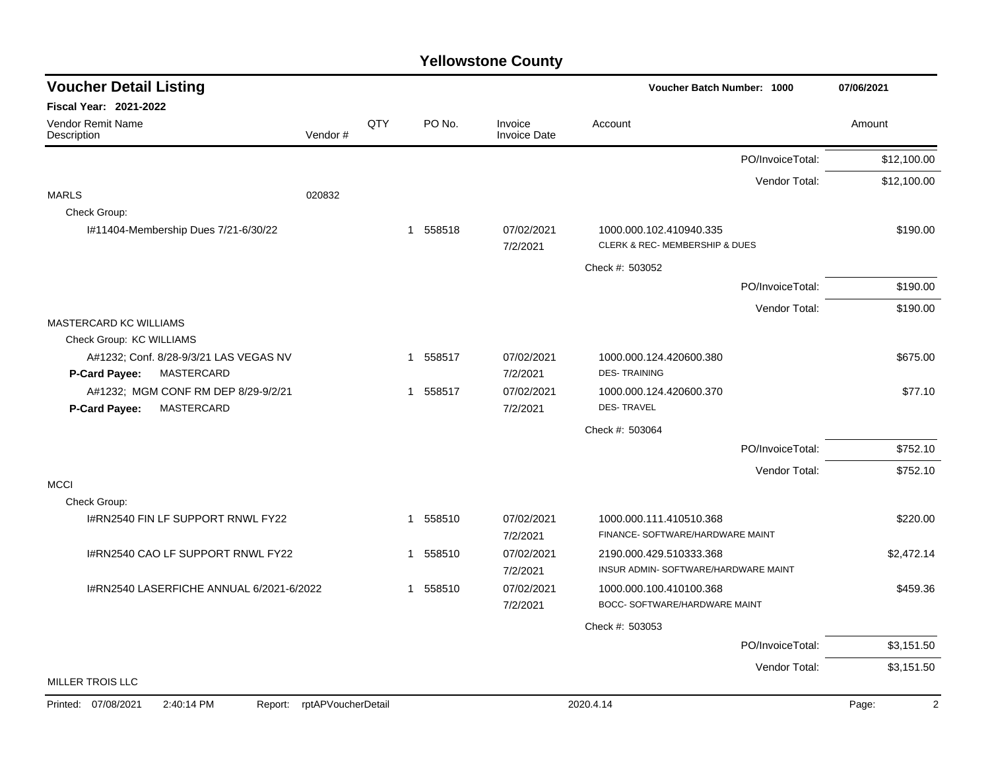## **Yellowstone County**

| <b>Voucher Detail Listing</b>                                         |                    |     |             |                                | Voucher Batch Number: 1000                                  |                  | 07/06/2021  |
|-----------------------------------------------------------------------|--------------------|-----|-------------|--------------------------------|-------------------------------------------------------------|------------------|-------------|
| Fiscal Year: 2021-2022                                                |                    |     |             |                                |                                                             |                  |             |
| Vendor Remit Name<br>Description                                      | Vendor#            | QTY | PO No.      | Invoice<br><b>Invoice Date</b> | Account                                                     |                  | Amount      |
|                                                                       |                    |     |             |                                |                                                             | PO/InvoiceTotal: | \$12,100.00 |
|                                                                       |                    |     |             |                                |                                                             | Vendor Total:    | \$12,100.00 |
| <b>MARLS</b>                                                          | 020832             |     |             |                                |                                                             |                  |             |
| Check Group:                                                          |                    |     |             |                                |                                                             |                  |             |
| I#11404-Membership Dues 7/21-6/30/22                                  |                    |     | 1 558518    | 07/02/2021<br>7/2/2021         | 1000.000.102.410940.335<br>CLERK & REC-MEMBERSHIP & DUES    |                  | \$190.00    |
|                                                                       |                    |     |             |                                | Check #: 503052                                             |                  |             |
|                                                                       |                    |     |             |                                |                                                             | PO/InvoiceTotal: | \$190.00    |
|                                                                       |                    |     |             |                                |                                                             | Vendor Total:    | \$190.00    |
| MASTERCARD KC WILLIAMS                                                |                    |     |             |                                |                                                             |                  |             |
| Check Group: KC WILLIAMS                                              |                    |     |             |                                |                                                             |                  |             |
| A#1232; Conf. 8/28-9/3/21 LAS VEGAS NV<br>P-Card Payee:<br>MASTERCARD |                    |     | 1 558517    | 07/02/2021<br>7/2/2021         | 1000.000.124.420600.380<br><b>DES-TRAINING</b>              |                  | \$675.00    |
| A#1232; MGM CONF RM DEP 8/29-9/2/21                                   |                    |     | 1 558517    | 07/02/2021                     | 1000.000.124.420600.370                                     |                  | \$77.10     |
| MASTERCARD<br>P-Card Payee:                                           |                    |     |             | 7/2/2021                       | <b>DES-TRAVEL</b>                                           |                  |             |
|                                                                       |                    |     |             |                                | Check #: 503064                                             |                  |             |
|                                                                       |                    |     |             |                                |                                                             | PO/InvoiceTotal: | \$752.10    |
|                                                                       |                    |     |             |                                |                                                             | Vendor Total:    | \$752.10    |
| <b>MCCI</b>                                                           |                    |     |             |                                |                                                             |                  |             |
| Check Group:                                                          |                    |     |             |                                |                                                             |                  |             |
| I#RN2540 FIN LF SUPPORT RNWL FY22                                     |                    |     | 1 558510    | 07/02/2021<br>7/2/2021         | 1000.000.111.410510.368<br>FINANCE- SOFTWARE/HARDWARE MAINT |                  | \$220.00    |
| I#RN2540 CAO LF SUPPORT RNWL FY22                                     |                    |     | 558510<br>1 | 07/02/2021                     | 2190.000.429.510333.368                                     |                  | \$2,472.14  |
|                                                                       |                    |     |             | 7/2/2021                       | INSUR ADMIN- SOFTWARE/HARDWARE MAINT                        |                  |             |
| I#RN2540 LASERFICHE ANNUAL 6/2021-6/2022                              |                    |     | 558510<br>1 | 07/02/2021                     | 1000.000.100.410100.368                                     |                  | \$459.36    |
|                                                                       |                    |     |             | 7/2/2021                       | BOCC- SOFTWARE/HARDWARE MAINT                               |                  |             |
|                                                                       |                    |     |             |                                | Check #: 503053                                             |                  |             |
|                                                                       |                    |     |             |                                |                                                             | PO/InvoiceTotal: | \$3,151.50  |
|                                                                       |                    |     |             |                                |                                                             | Vendor Total:    | \$3,151.50  |
| <b>MILLER TROIS LLC</b>                                               |                    |     |             |                                |                                                             |                  |             |
| Printed: 07/08/2021<br>2:40:14 PM<br>Report:                          | rptAPVoucherDetail |     |             |                                | 2020.4.14                                                   |                  | 2<br>Page:  |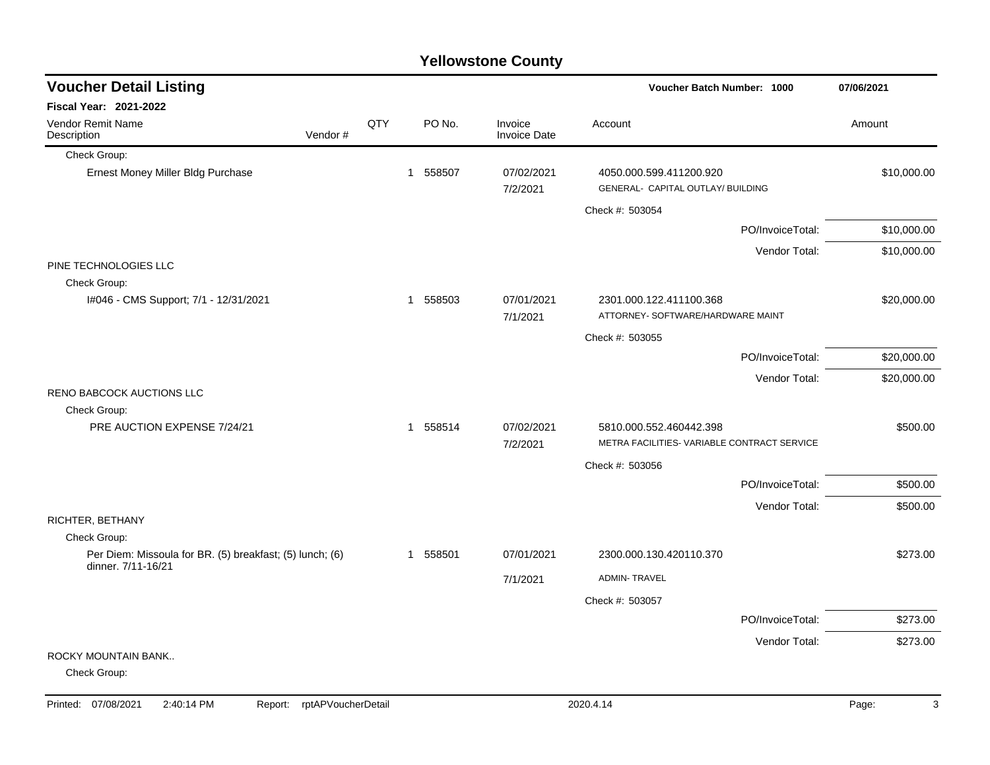|                                                                          |         |     |              |        | <b>Yellowstone County</b>      |                                                              |                  |             |
|--------------------------------------------------------------------------|---------|-----|--------------|--------|--------------------------------|--------------------------------------------------------------|------------------|-------------|
| <b>Voucher Detail Listing</b>                                            |         |     |              |        |                                | Voucher Batch Number: 1000                                   |                  | 07/06/2021  |
| <b>Fiscal Year: 2021-2022</b>                                            |         |     |              |        |                                |                                                              |                  |             |
| <b>Vendor Remit Name</b><br>Description                                  | Vendor# | QTY |              | PO No. | Invoice<br><b>Invoice Date</b> | Account                                                      |                  | Amount      |
| Check Group:                                                             |         |     |              |        |                                |                                                              |                  |             |
| Ernest Money Miller Bldg Purchase                                        |         |     | $\mathbf 1$  | 558507 | 07/02/2021<br>7/2/2021         | 4050.000.599.411200.920<br>GENERAL- CAPITAL OUTLAY/ BUILDING |                  | \$10,000.00 |
|                                                                          |         |     |              |        |                                | Check #: 503054                                              |                  |             |
|                                                                          |         |     |              |        |                                |                                                              | PO/InvoiceTotal: | \$10,000.00 |
|                                                                          |         |     |              |        |                                |                                                              | Vendor Total:    | \$10,000.00 |
| PINE TECHNOLOGIES LLC<br>Check Group:                                    |         |     |              |        |                                |                                                              |                  |             |
| I#046 - CMS Support; 7/1 - 12/31/2021                                    |         |     | 1            | 558503 | 07/01/2021<br>7/1/2021         | 2301.000.122.411100.368<br>ATTORNEY- SOFTWARE/HARDWARE MAINT |                  | \$20,000.00 |
|                                                                          |         |     |              |        |                                | Check #: 503055                                              |                  |             |
|                                                                          |         |     |              |        |                                |                                                              | PO/InvoiceTotal: | \$20,000.00 |
|                                                                          |         |     |              |        |                                |                                                              | Vendor Total:    | \$20,000.00 |
| <b>RENO BABCOCK AUCTIONS LLC</b>                                         |         |     |              |        |                                |                                                              |                  |             |
| Check Group:<br>PRE AUCTION EXPENSE 7/24/21                              |         |     | $\mathbf 1$  | 558514 | 07/02/2021                     | 5810.000.552.460442.398                                      |                  | \$500.00    |
|                                                                          |         |     |              |        | 7/2/2021                       | METRA FACILITIES- VARIABLE CONTRACT SERVICE                  |                  |             |
|                                                                          |         |     |              |        |                                | Check #: 503056                                              |                  |             |
|                                                                          |         |     |              |        |                                |                                                              | PO/InvoiceTotal: | \$500.00    |
|                                                                          |         |     |              |        |                                |                                                              | Vendor Total:    | \$500.00    |
| RICHTER, BETHANY                                                         |         |     |              |        |                                |                                                              |                  |             |
| Check Group:<br>Per Diem: Missoula for BR. (5) breakfast; (5) lunch; (6) |         |     | $\mathbf{1}$ | 558501 | 07/01/2021                     | 2300.000.130.420110.370                                      |                  | \$273.00    |
| dinner. 7/11-16/21                                                       |         |     |              |        |                                |                                                              |                  |             |
|                                                                          |         |     |              |        | 7/1/2021                       | <b>ADMIN-TRAVEL</b>                                          |                  |             |
|                                                                          |         |     |              |        |                                | Check #: 503057                                              |                  |             |
|                                                                          |         |     |              |        |                                |                                                              | PO/InvoiceTotal: | \$273.00    |
| ROCKY MOUNTAIN BANK                                                      |         |     |              |        |                                |                                                              | Vendor Total:    | \$273.00    |
| Check Group:                                                             |         |     |              |        |                                |                                                              |                  |             |
|                                                                          |         |     |              |        |                                |                                                              |                  |             |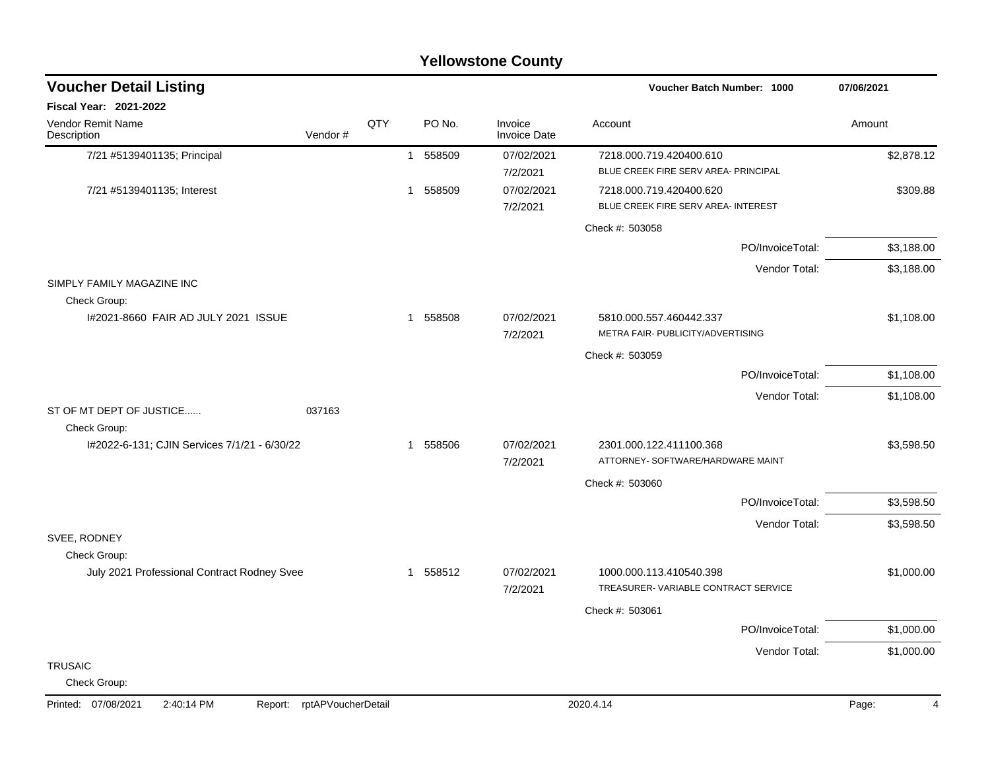|                                              |                            |             |        | <b>Yellowstone County</b>      |                                                                 |            |
|----------------------------------------------|----------------------------|-------------|--------|--------------------------------|-----------------------------------------------------------------|------------|
| <b>Voucher Detail Listing</b>                |                            |             |        |                                | Voucher Batch Number: 1000                                      | 07/06/2021 |
| Fiscal Year: 2021-2022                       |                            |             |        |                                |                                                                 |            |
| Vendor Remit Name<br>Description             | QTY<br>Vendor#             |             | PO No. | Invoice<br><b>Invoice Date</b> | Account                                                         | Amount     |
| 7/21 #5139401135; Principal                  |                            | $\mathbf 1$ | 558509 | 07/02/2021<br>7/2/2021         | 7218.000.719.420400.610<br>BLUE CREEK FIRE SERV AREA- PRINCIPAL | \$2,878.12 |
| 7/21 #5139401135; Interest                   |                            | 1           | 558509 | 07/02/2021<br>7/2/2021         | 7218.000.719.420400.620<br>BLUE CREEK FIRE SERV AREA- INTEREST  | \$309.88   |
|                                              |                            |             |        |                                | Check #: 503058                                                 |            |
|                                              |                            |             |        |                                | PO/InvoiceTotal:                                                | \$3,188.00 |
| SIMPLY FAMILY MAGAZINE INC                   |                            |             |        |                                | Vendor Total:                                                   | \$3,188.00 |
| Check Group:                                 |                            |             |        |                                |                                                                 |            |
| 1#2021-8660 FAIR AD JULY 2021 ISSUE          |                            | 1           | 558508 | 07/02/2021<br>7/2/2021         | 5810.000.557.460442.337<br>METRA FAIR- PUBLICITY/ADVERTISING    | \$1,108.00 |
|                                              |                            |             |        |                                | Check #: 503059                                                 |            |
|                                              |                            |             |        |                                | PO/InvoiceTotal:                                                | \$1,108.00 |
|                                              |                            |             |        |                                | Vendor Total:                                                   | \$1,108.00 |
| ST OF MT DEPT OF JUSTICE<br>Check Group:     | 037163                     |             |        |                                |                                                                 |            |
| I#2022-6-131; CJIN Services 7/1/21 - 6/30/22 |                            | 1           | 558506 | 07/02/2021<br>7/2/2021         | 2301.000.122.411100.368<br>ATTORNEY- SOFTWARE/HARDWARE MAINT    | \$3,598.50 |
|                                              |                            |             |        |                                | Check #: 503060                                                 |            |
|                                              |                            |             |        |                                | PO/InvoiceTotal:                                                | \$3,598.50 |
|                                              |                            |             |        |                                | Vendor Total:                                                   | \$3,598.50 |
| SVEE, RODNEY<br>Check Group:                 |                            |             |        |                                |                                                                 |            |
| July 2021 Professional Contract Rodney Svee  |                            | 1           | 558512 | 07/02/2021<br>7/2/2021         | 1000.000.113.410540.398<br>TREASURER-VARIABLE CONTRACT SERVICE  | \$1,000.00 |
|                                              |                            |             |        |                                | Check #: 503061                                                 |            |
|                                              |                            |             |        |                                | PO/InvoiceTotal:                                                | \$1,000.00 |
|                                              |                            |             |        |                                | Vendor Total:                                                   | \$1,000.00 |
| <b>TRUSAIC</b><br>Check Group:               |                            |             |        |                                |                                                                 |            |
| 2:40:14 PM<br>Printed: 07/08/2021            | Report: rptAPVoucherDetail |             |        |                                | 2020.4.14                                                       | Page:<br>4 |